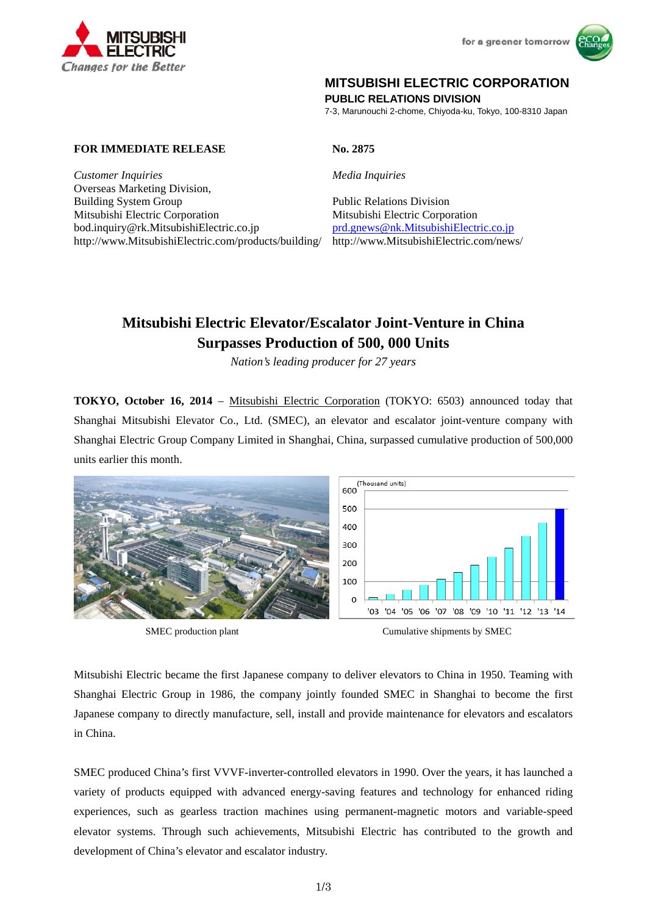



# **MITSUBISHI ELECTRIC CORPORATION**

**PUBLIC RELATIONS DIVISION** 

7-3, Marunouchi 2-chome, Chiyoda-ku, Tokyo, 100-8310 Japan

## **FOR IMMEDIATE RELEASE No. 2875**

*Customer Inquiries Media Inquiries* Overseas Marketing Division, Building System Group Public Relations Division Mitsubishi Electric Corporation Mitsubishi Electric Corporation

bod.inquiry@rk.MitsubishiElectric.co.jp prd.gnews@nk.MitsubishiElectric.co.jp http://www.MitsubishiElectric.com/products/building/ http://www.MitsubishiElectric.com/news/

# **Mitsubishi Electric Elevator/Escalator Joint-Venture in China Surpasses Production of 500, 000 Units**

*Nation's leading producer for 27 years* 

**TOKYO, October 16, 2014** – Mitsubishi Electric Corporation (TOKYO: 6503) announced today that Shanghai Mitsubishi Elevator Co., Ltd. (SMEC), an elevator and escalator joint-venture company with Shanghai Electric Group Company Limited in Shanghai, China, surpassed cumulative production of 500,000 units earlier this month.





Mitsubishi Electric became the first Japanese company to deliver elevators to China in 1950. Teaming with Shanghai Electric Group in 1986, the company jointly founded SMEC in Shanghai to become the first Japanese company to directly manufacture, sell, install and provide maintenance for elevators and escalators in China.

SMEC produced China's first VVVF-inverter-controlled elevators in 1990. Over the years, it has launched a variety of products equipped with advanced energy-saving features and technology for enhanced riding experiences, such as gearless traction machines using permanent-magnetic motors and variable-speed elevator systems. Through such achievements, Mitsubishi Electric has contributed to the growth and development of China's elevator and escalator industry.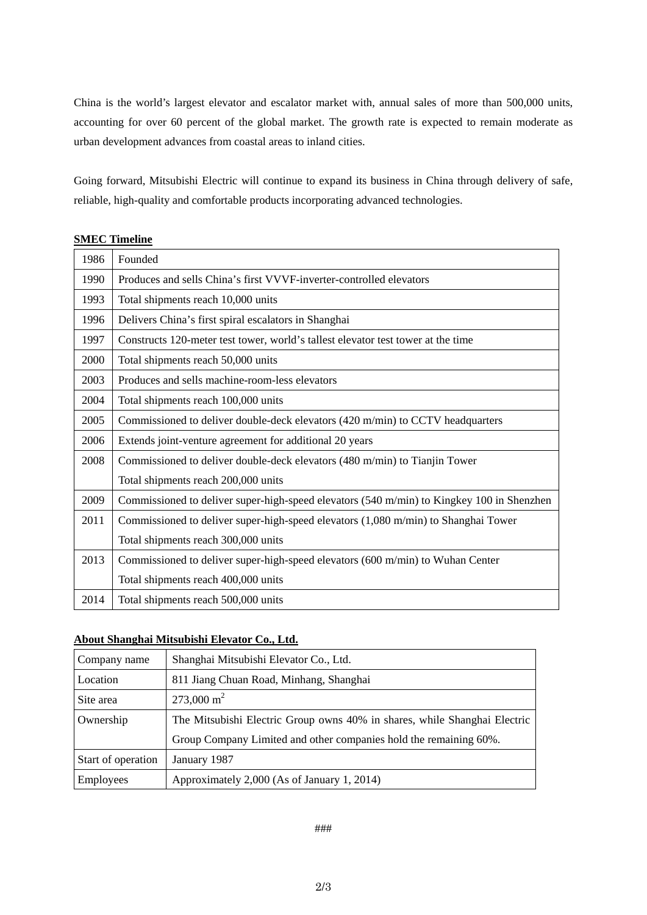China is the world's largest elevator and escalator market with, annual sales of more than 500,000 units, accounting for over 60 percent of the global market. The growth rate is expected to remain moderate as urban development advances from coastal areas to inland cities.

Going forward, Mitsubishi Electric will continue to expand its business in China through delivery of safe, reliable, high-quality and comfortable products incorporating advanced technologies.

| 1986 | Founded                                                                                   |
|------|-------------------------------------------------------------------------------------------|
| 1990 | Produces and sells China's first VVVF-inverter-controlled elevators                       |
| 1993 | Total shipments reach 10,000 units                                                        |
| 1996 | Delivers China's first spiral escalators in Shanghai                                      |
| 1997 | Constructs 120-meter test tower, world's tallest elevator test tower at the time          |
| 2000 | Total shipments reach 50,000 units                                                        |
| 2003 | Produces and sells machine-room-less elevators                                            |
| 2004 | Total shipments reach 100,000 units                                                       |
| 2005 | Commissioned to deliver double-deck elevators (420 m/min) to CCTV headquarters            |
| 2006 | Extends joint-venture agreement for additional 20 years                                   |
| 2008 | Commissioned to deliver double-deck elevators (480 m/min) to Tianjin Tower                |
|      | Total shipments reach 200,000 units                                                       |
| 2009 | Commissioned to deliver super-high-speed elevators (540 m/min) to Kingkey 100 in Shenzhen |
| 2011 | Commissioned to deliver super-high-speed elevators (1,080 m/min) to Shanghai Tower        |
|      | Total shipments reach 300,000 units                                                       |
| 2013 | Commissioned to deliver super-high-speed elevators (600 m/min) to Wuhan Center            |
|      | Total shipments reach 400,000 units                                                       |
| 2014 | Total shipments reach 500,000 units                                                       |

## **SMEC Timeline**

## **About Shanghai Mitsubishi Elevator Co., Ltd.**

| Company name       | Shanghai Mitsubishi Elevator Co., Ltd.                                    |
|--------------------|---------------------------------------------------------------------------|
| Location           | 811 Jiang Chuan Road, Minhang, Shanghai                                   |
| Site area          | 273,000 m <sup>2</sup>                                                    |
| Ownership          | The Mitsubishi Electric Group owns 40% in shares, while Shanghai Electric |
|                    | Group Company Limited and other companies hold the remaining 60%.         |
| Start of operation | January 1987                                                              |
| Employees          | Approximately 2,000 (As of January 1, 2014)                               |